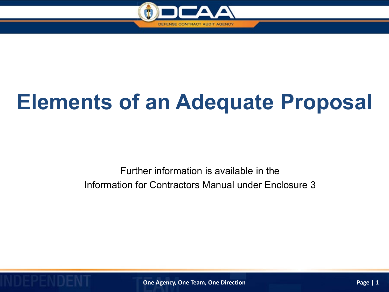

### **Elements of an Adequate Proposal**

Further information is available in the Information for Contractors Manual under Enclosure 3

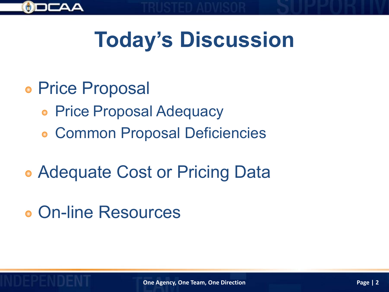

### **Today's Discussion**

- Price Proposal
	- **Price Proposal Adequacy**
	- Common Proposal Deficiencies
- Adequate Cost or Pricing Data
- On-line Resources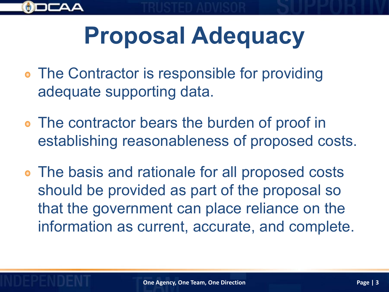

# **Proposal Adequacy**

- **The Contractor is responsible for providing** adequate supporting data.
- The contractor bears the burden of proof in establishing reasonableness of proposed costs.
- The basis and rationale for all proposed costs should be provided as part of the proposal so that the government can place reliance on the information as current, accurate, and complete.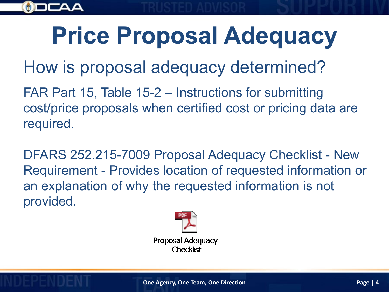

# **Price Proposal Adequacy**

How is proposal adequacy determined?

FAR Part 15, Table 15-2 – Instructions for submitting cost/price proposals when certified cost or pricing data are required.

DFARS 252.215-7009 Proposal Adequacy Checklist - New Requirement - Provides location of requested information or an explanation of why the requested information is not provided.



**Proposal Adequacy Checklist**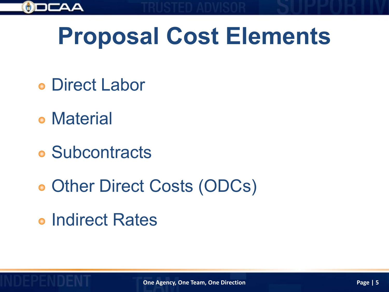

# **Proposal Cost Elements**

- Direct Labor
- Material
- Subcontracts
- Other Direct Costs (ODCs)
- **o** Indirect Rates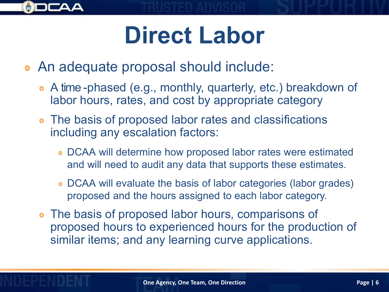

# **Direct Labor**

- An adequate proposal should include:
	- A time -phased (e.g., monthly, quarterly, etc.) breakdown of labor hours, rates, and cost by appropriate category
	- The basis of proposed labor rates and classifications including any escalation factors:
		- DCAA will determine how proposed labor rates were estimated and will need to audit any data that supports these estimates.
		- DCAA will evaluate the basis of labor categories (labor grades) proposed and the hours assigned to each labor category.
	- The basis of proposed labor hours, comparisons of proposed hours to experienced hours for the production of similar items; and any learning curve applications.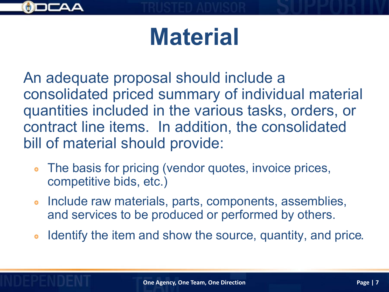

### **Material**

An adequate proposal should include a consolidated priced summary of individual material quantities included in the various tasks, orders, or contract line items. In addition, the consolidated bill of material should provide:

- The basis for pricing (vendor quotes, invoice prices, competitive bids, etc.)
- Include raw materials, parts, components, assemblies, and services to be produced or performed by others.
- Identify the item and show the source, quantity, and price.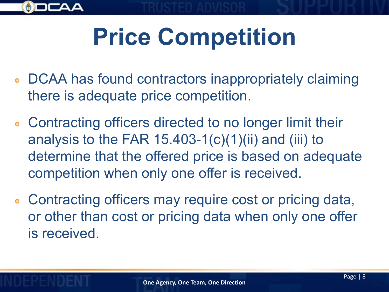

# **Price Competition**

- DCAA has found contractors inappropriately claiming there is adequate price competition.
- Contracting officers directed to no longer limit their analysis to the FAR 15.403-1 $(c)(1)(ii)$  and  $(iii)$  to determine that the offered price is based on adequate competition when only one offer is received.
- Contracting officers may require cost or pricing data, or other than cost or pricing data when only one offer is received.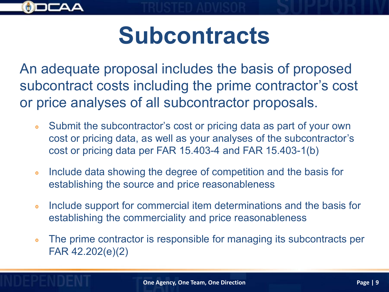

### **Subcontracts**

An adequate proposal includes the basis of proposed subcontract costs including the prime contractor's cost or price analyses of all subcontractor proposals.

- Submit the subcontractor's cost or pricing data as part of your own  $\bullet$ cost or pricing data, as well as your analyses of the subcontractor's cost or pricing data per FAR 15.403-4 and FAR 15.403-1(b)
- Include data showing the degree of competition and the basis for  $\bullet$ establishing the source and price reasonableness
- Include support for commercial item determinations and the basis for  $\bullet$ establishing the commerciality and price reasonableness
- The prime contractor is responsible for managing its subcontracts per  $\bullet$ FAR 42.202(e)(2)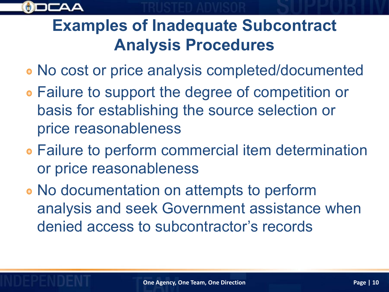

#### **Examples of Inadequate Subcontract Analysis Procedures**

- No cost or price analysis completed/documented
- Failure to support the degree of competition or basis for establishing the source selection or price reasonableness
- Failure to perform commercial item determination or price reasonableness
- No documentation on attempts to perform analysis and seek Government assistance when denied access to subcontractor's records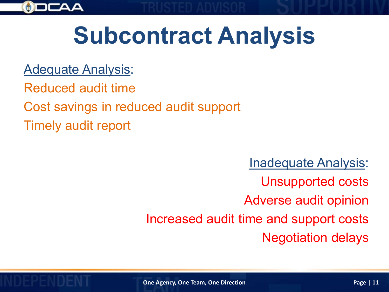

# **Subcontract Analysis**

#### Adequate Analysis:

Reduced audit time Cost savings in reduced audit support Timely audit report

> Inadequate Analysis: Unsupported costs Adverse audit opinion Increased audit time and support costs Negotiation delays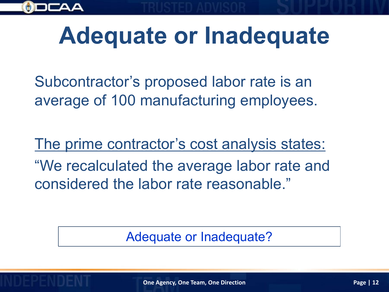

### **Adequate or Inadequate**

Subcontractor's proposed labor rate is an average of 100 manufacturing employees.

The prime contractor's cost analysis states: "We recalculated the average labor rate and considered the labor rate reasonable."

Adequate or Inadequate?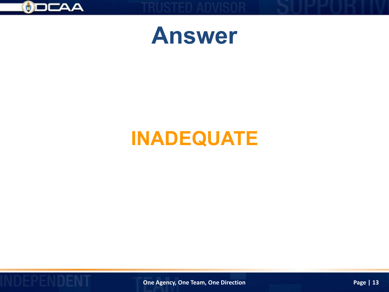



#### **INADEQUATE**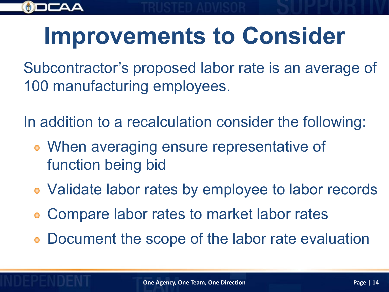

### **Improvements to Consider**

Subcontractor's proposed labor rate is an average of 100 manufacturing employees.

In addition to a recalculation consider the following:

- When averaging ensure representative of function being bid
- Validate labor rates by employee to labor records
- Compare labor rates to market labor rates  $\bullet$
- Document the scope of the labor rate evaluation  $\bullet$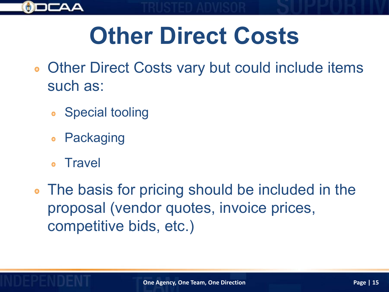

# **Other Direct Costs**

- Other Direct Costs vary but could include items such as:
	- Special tooling
	- **Packaging**  $\bullet$
	- **Travel**
- The basis for pricing should be included in the proposal (vendor quotes, invoice prices, competitive bids, etc.)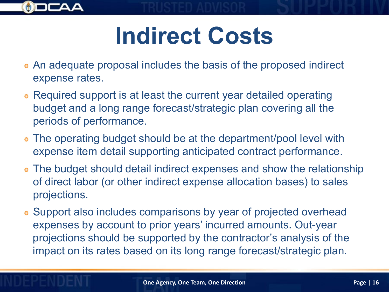

## **Indirect Costs**

- An adequate proposal includes the basis of the proposed indirect expense rates.
- Required support is at least the current year detailed operating budget and a long range forecast/strategic plan covering all the periods of performance.
- The operating budget should be at the department/pool level with expense item detail supporting anticipated contract performance.
- The budget should detail indirect expenses and show the relationship of direct labor (or other indirect expense allocation bases) to sales projections.
- Support also includes comparisons by year of projected overhead expenses by account to prior years' incurred amounts. Out-year projections should be supported by the contractor's analysis of the impact on its rates based on its long range forecast/strategic plan.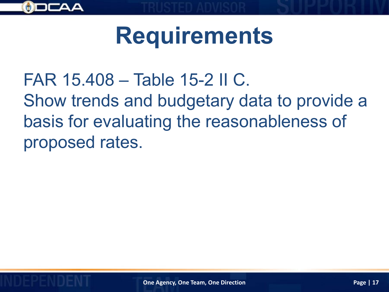

## **Requirements**

FAR 15.408 – Table 15-2 II C. Show trends and budgetary data to provide a basis for evaluating the reasonableness of proposed rates.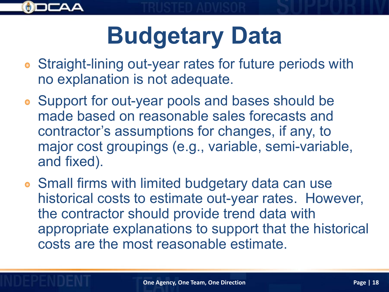

# **Budgetary Data**

- Straight-lining out-year rates for future periods with no explanation is not adequate.
- Support for out-year pools and bases should be made based on reasonable sales forecasts and contractor's assumptions for changes, if any, to major cost groupings (e.g., variable, semi-variable, and fixed).
- Small firms with limited budgetary data can use historical costs to estimate out-year rates. However, the contractor should provide trend data with appropriate explanations to support that the historical costs are the most reasonable estimate.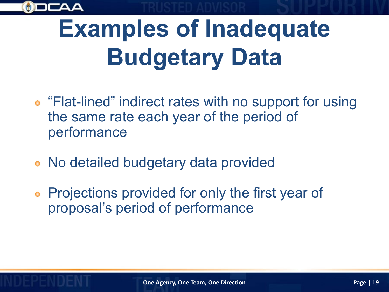

# **Examples of Inadequate Budgetary Data**

- "Flat-lined" indirect rates with no support for using the same rate each year of the period of performance
- No detailed budgetary data provided  $\bullet$
- Projections provided for only the first year of proposal's period of performance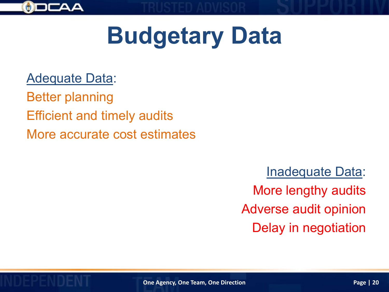

# **Budgetary Data**

#### Adequate Data:

Better planning Efficient and timely audits More accurate cost estimates

> Inadequate Data: More lengthy audits Adverse audit opinion Delay in negotiation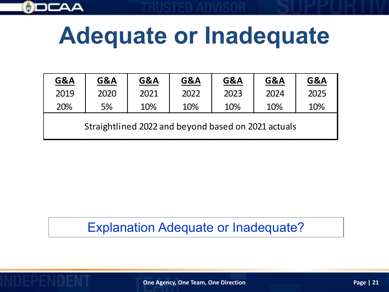

#### **Adequate or Inadequate**

| <u>G&amp;A</u>                                      | <u>G&amp;A</u> | <u>G&amp;A</u> | <b>G&amp;A</b> | <u>G&amp;A</u> | <u>G&amp;A</u> | <u>G&amp;A</u> |
|-----------------------------------------------------|----------------|----------------|----------------|----------------|----------------|----------------|
| 2019                                                | 2020           | 2021           | 2022           | 2023           | 2024           | 2025           |
| 20%                                                 | 5%             | 10%            | 10%            | 10%            | 10%            | 10%            |
| Straightlined 2022 and beyond based on 2021 actuals |                |                |                |                |                |                |

#### Explanation Adequate or Inadequate?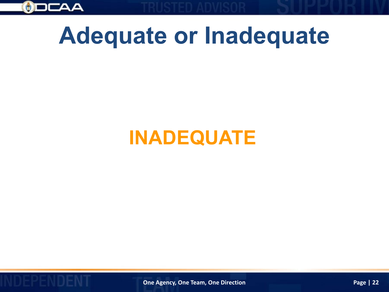

#### **Adequate or Inadequate**

#### **INADEQUATE**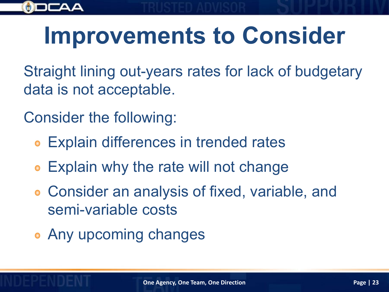

# **Improvements to Consider**

Straight lining out-years rates for lack of budgetary data is not acceptable.

Consider the following:

- Explain differences in trended rates  $\bullet$
- Explain why the rate will not change  $\bullet$
- Consider an analysis of fixed, variable, and semi-variable costs
- Any upcoming changes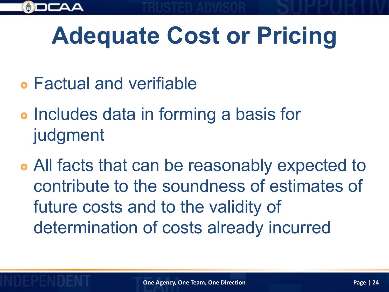

# **Adequate Cost or Pricing**

- Factual and verifiable
- Includes data in forming a basis for judgment
- All facts that can be reasonably expected to contribute to the soundness of estimates of future costs and to the validity of determination of costs already incurred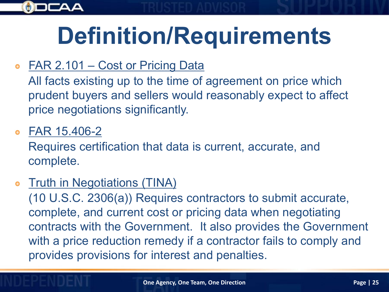

# **Definition/Requirements**

#### FAR 2.101 – Cost or Pricing Data

All facts existing up to the time of agreement on price which prudent buyers and sellers would reasonably expect to affect price negotiations significantly.

#### FAR 15.406-2

Requires certification that data is current, accurate, and complete.

#### <u>Truth in Negotiations (TINA)</u>

(10 U.S.C. 2306(a)) Requires contractors to submit accurate, complete, and current cost or pricing data when negotiating contracts with the Government. It also provides the Government with a price reduction remedy if a contractor fails to comply and provides provisions for interest and penalties.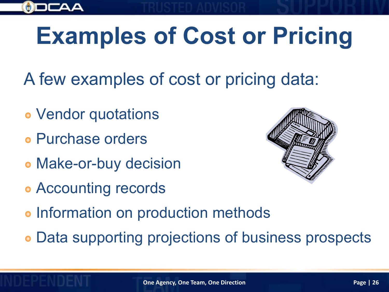

# **Examples of Cost or Pricing**

- A few examples of cost or pricing data:
- Vendor quotations
- Purchase orders
- Make-or-buy decision
- **Accounting records**
- **Information on production methods**
- Data supporting projections of business prospects

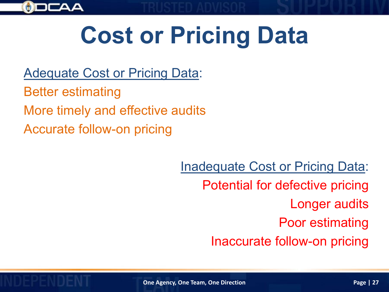

# **Cost or Pricing Data**

Adequate Cost or Pricing Data:

Better estimating

More timely and effective audits

Accurate follow-on pricing

Inadequate Cost or Pricing Data: Potential for defective pricing Longer audits Poor estimating Inaccurate follow-on pricing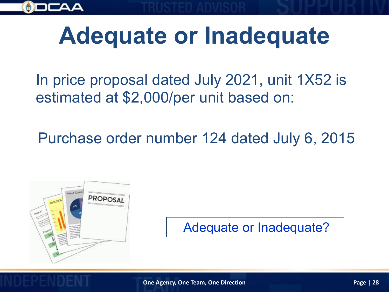

### **Adequate or Inadequate**

In price proposal dated July 2021, unit 1X52 is estimated at \$2,000/per unit based on:

Purchase order number 124 dated July 6, 2015



Adequate or Inadequate?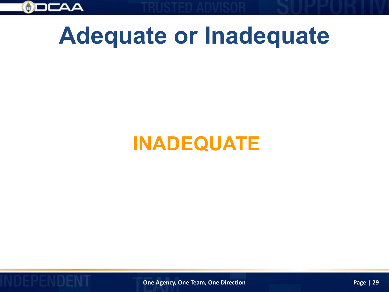

#### **Adequate or Inadequate**

#### **INADEQUATE**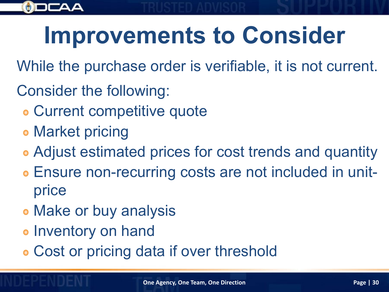

# **Improvements to Consider**

While the purchase order is verifiable, it is not current.

- Consider the following:
	- Current competitive quote
	- **Market pricing**
	- Adjust estimated prices for cost trends and quantity
	- Ensure non-recurring costs are not included in unitprice
	- Make or buy analysis
	- **Inventory on hand**
	- Cost or pricing data if over threshold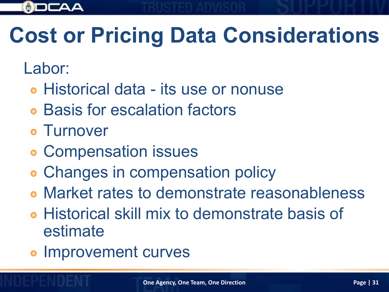

#### **Cost or Pricing Data Considerations**

#### Labor:

- Historical data its use or nonuse
- Basis for escalation factors
- Turnover
- **Compensation issues**
- Changes in compensation policy
- Market rates to demonstrate reasonableness
- Historical skill mix to demonstrate basis of estimate
- **Improvement curves**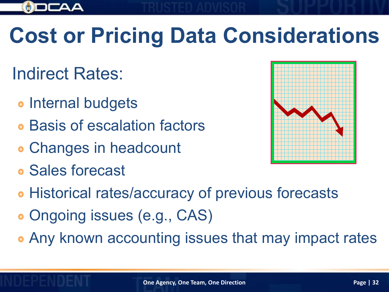#### **Cost or Pricing Data Considerations**

Indirect Rates:

- **Internal budgets**
- Basis of escalation factors
- Changes in headcount
- Sales forecast



- Historical rates/accuracy of previous forecasts
- Ongoing issues (e.g., CAS)
- Any known accounting issues that may impact rates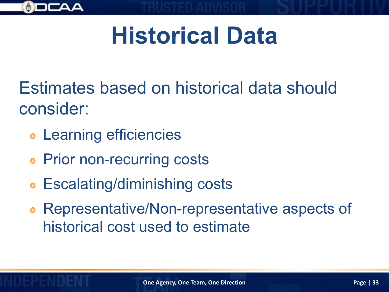

# **Historical Data**

Estimates based on historical data should consider:

- Learning efficiencies
- **Prior non-recurring costs**
- Escalating/diminishing costs  $\bullet$
- Representative/Non-representative aspects of  $\bullet$ historical cost used to estimate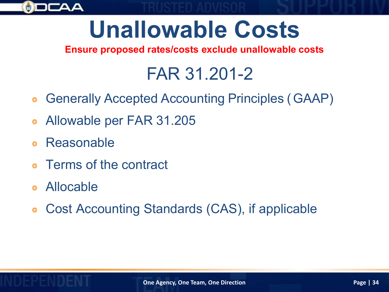

### **Unallowable Costs**

**Ensure proposed rates/costs exclude unallowable costs**

#### FAR 31.201-2

- Generally Accepted Accounting Principles (GAAP)  $\bullet$
- Allowable per FAR 31.205  $\bullet$
- Reasonable  $\bullet$
- Terms of the contract  $\bullet$
- Allocable  $\bullet$
- Cost Accounting Standards (CAS), if applicable  $\bullet$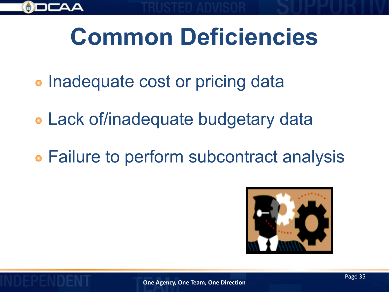

# **Common Deficiencies**

- Inadequate cost or pricing data
- Lack of/inadequate budgetary data
- Failure to perform subcontract analysis

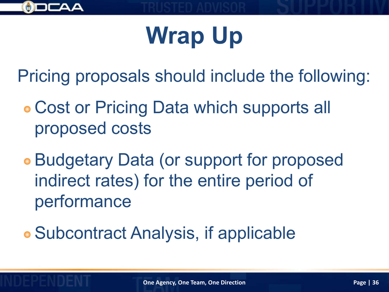

# **Wrap Up**

Pricing proposals should include the following:

- Cost or Pricing Data which supports all proposed costs
- Budgetary Data (or support for proposed indirect rates) for the entire period of performance
- Subcontract Analysis, if applicable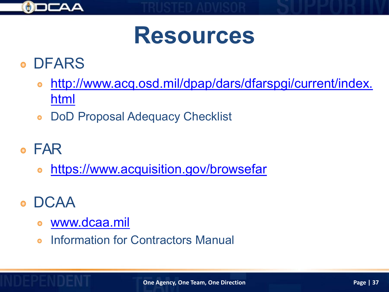

#### **Resources**

#### **DFARS**

- [http://www.acq.osd.mil/dpap/dars/dfarspgi/current/index.](http://www.acq.osd.mil/dpap/dars/dfarspgi/current/index.html) html
- DoD Proposal Adequacy Checklist  $\bullet$
- FAR
	- <https://www.acquisition.gov/browsefar>  $\bullet$
- DCAA
	- [www.dcaa.mil](http://www.dcaa.mil/)
	- Information for Contractors Manual  $\bullet$